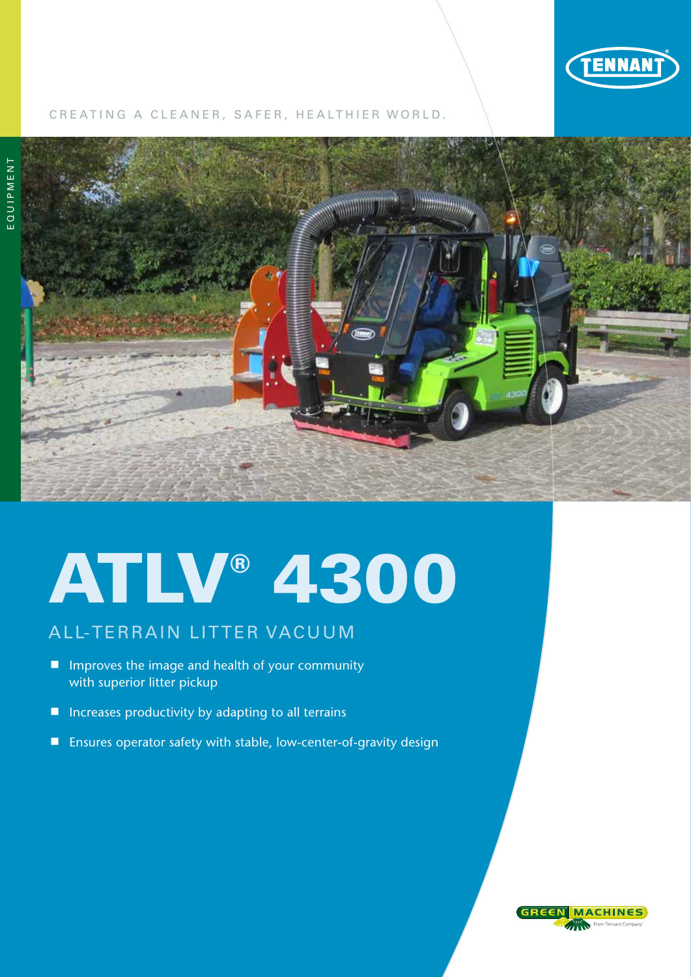

# CREATING A CLEANER, SAFER, HEALTHIER WORLD.



# ATLV® 4300

# ALL-TERRAIN LITTER VACUUM

- **n** Improves the image and health of your community with superior litter pickup
- Increases productivity by adapting to all terrains
- $\blacksquare$  Ensures operator safety with stable, low-center-of-gravity design

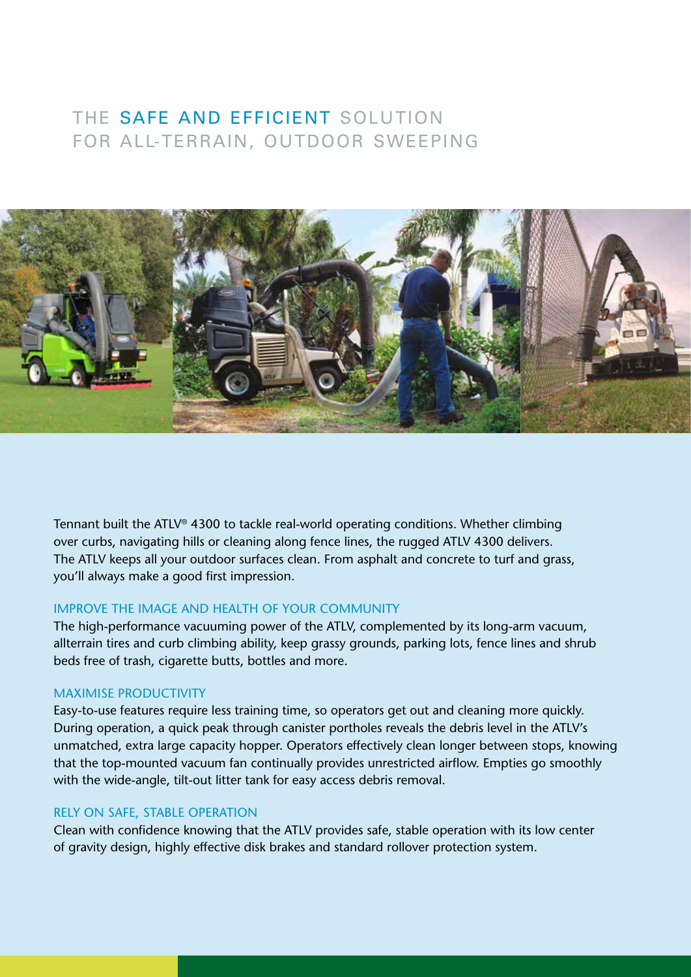# THE SAFE AND EFFICIENT SOLUTION FOR ALL-TERRAIN, OUTDOOR SWEEPING



Tennant built the ATLV® 4300 to tackle real-world operating conditions. Whether climbing over curbs, navigating hills or cleaning along fence lines, the rugged ATLV 4300 delivers. The ATLV keeps all your outdoor surfaces clean. From asphalt and concrete to turf and grass, you'll always make a good first impression.

# IMPROVE THE IMAGE AND HEALTH OF YOUR COMMUNITY

The high-performance vacuuming power of the ATLV, complemented by its long-arm vacuum, allterrain tires and curb climbing ability, keep grassy grounds, parking lots, fence lines and shrub beds free of trash, cigarette butts, bottles and more.

# MAXIMISE PRODUCTIVITY

Easy-to-use features require less training time, so operators get out and cleaning more quickly. During operation, a quick peak through canister portholes reveals the debris level in the ATLV's unmatched, extra large capacity hopper. Operators effectively clean longer between stops, knowing that the top-mounted vacuum fan continually provides unrestricted airflow. Empties go smoothly with the wide-angle, tilt-out litter tank for easy access debris removal.

### RELY ON SAFE, STABLE OPERATION

Clean with confidence knowing that the ATLV provides safe, stable operation with its low center of gravity design, highly effective disk brakes and standard rollover protection system.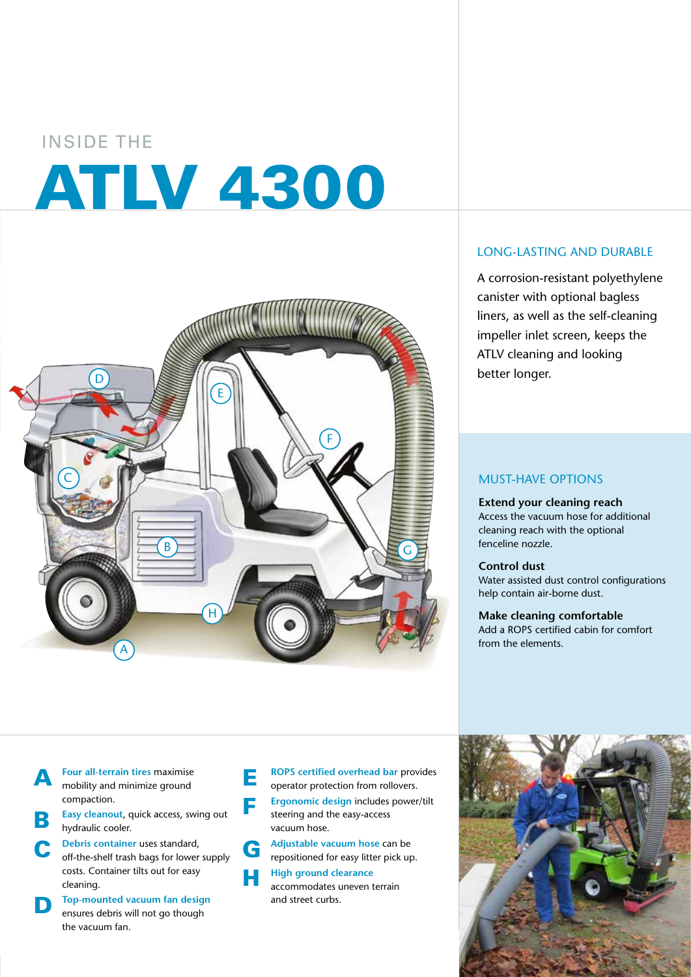# INSIDE THE ATLV 4300



# LONG-LASTING AND DURABLE

A corrosion-resistant polyethylene canister with optional bagless liners, as well as the self-cleaning impeller inlet screen, keeps the ATLV cleaning and looking better longer.

## MUST-HAVE OPTIONS

**Extend your cleaning reach** Access the vacuum hose for additional cleaning reach with the optional fenceline nozzle.

#### **Control dust**

Water assisted dust control configurations help contain air-borne dust.

**Make cleaning comfortable** Add a ROPS certified cabin for comfort from the elements.

**A** Four all-terrain tires maximise<br>mobility and minimize ground compaction.

> **Easy cleanout, quick access, swing out** hydraulic cooler.

**C** Debris container uses standard,<br>
off-the-shelf trash bags for lower supply costs. Container tilts out for easy cleaning.

**D Top-mounted vacuum fan design**<br> **ensures debris will not go though** the vacuum fan.

**E ROPS certified overhead bar provides** operator protection from rollovers.

**Example 2 Ergonomic design includes power/tilt** steering and the easy-access vacuum hose.

**G** Adjustable vacuum hose can be repositioned for easy litter pick up.